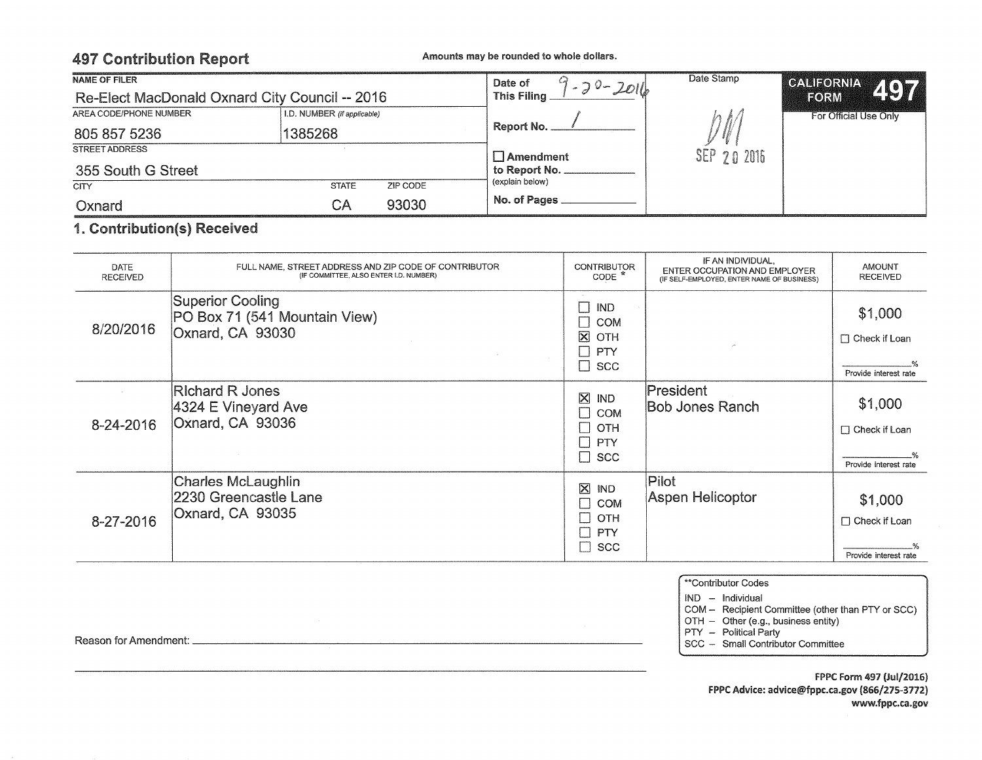# 497 Contribution Report Amounts may be rounded to whole dollars.

| NAME OF FILER                                  |                             |          | Date of<br>$-20 - 2016$ | Date Stamp  | CALIFORNIA 4077<br>EORM |  |
|------------------------------------------------|-----------------------------|----------|-------------------------|-------------|-------------------------|--|
| Re-Elect MacDonald Oxnard City Council -- 2016 |                             |          | This Filing             |             |                         |  |
| AREA CODE/PHONE NUMBER                         | I.D. NUMBER (if applicable) |          |                         |             | For Official Use Only   |  |
| 805 857 5236                                   | 1385268                     |          | Report No. _            |             |                         |  |
| STREET ADDRESS                                 |                             |          | $\Box$ Amendment        | SEP 20 2016 |                         |  |
| 355 South G Street                             |                             |          | to Report No.           |             |                         |  |
| <b>CITY</b>                                    | <b>STATE</b>                | ZIP CODE | (explain below)         |             |                         |  |
| Oxnard                                         | СA                          | 93030    | No. of Pages            |             |                         |  |

### 1. Contribution(s) Received

| DATE<br><b>RECEIVED</b> | FULL NAME, STREET ADDRESS AND ZIP CODE OF CONTRIBUTOR<br>(IF COMMITTEE, ALSO ENTER I.D. NUMBER) | <b>CONTRIBUTOR</b><br>$CODE *$                                                                            | IF AN INDIVIDUAL,<br>ENTER OCCUPATION AND EMPLOYER<br>(IF SELF-EMPLOYED, ENTER NAME OF BUSINESS) | <b>AMOUNT</b><br><b>RECEIVED</b>                         |
|-------------------------|-------------------------------------------------------------------------------------------------|-----------------------------------------------------------------------------------------------------------|--------------------------------------------------------------------------------------------------|----------------------------------------------------------|
| 8/20/2016               | Superior Cooling<br>PO Box 71 (541 Mountain View)<br>Oxnard, CA 93030                           | Π<br><b>IND</b><br>E.<br><b>COM</b><br>$\boxtimes$<br>OTH<br>$\Box$<br><b>PTY</b><br>$\Box$<br><b>SCC</b> |                                                                                                  | \$1,000<br>$\Box$ Check if Loan<br>Provide interest rate |
| 8-24-2016               | <b>Richard R Jones</b><br>4324 E Vineyard Ave<br>Oxnard, CA 93036                               | $\boxtimes$<br><b>IND</b><br>$\Box$<br><b>COM</b><br>$\Box$<br><b>OTH</b><br>$\Box$<br>PTY<br>$\Box$ scc  | President<br><b>Bob Jones Ranch</b>                                                              | \$1,000<br>$\Box$ Check if Loan<br>Provide interest rate |
| 8-27-2016               | Charles McLaughlin<br>2230 Greencastle Lane<br>Oxnard, CA 93035                                 | $\boxtimes$<br><b>IND</b><br>Г<br><b>COM</b><br>OTH<br>Г<br>PTY<br>П<br><b>SCC</b>                        | Pilot<br>Aspen Helicoptor                                                                        | \$1,000<br>$\Box$ Check if Loan<br>Provide interest rate |

\*\*Contributor Codes

IND - Individual

PTY - Political Party

OTH - Other (e.g., business entity)

SCC - Small Contributor Committee

Reason for Amendment: \_\_\_\_\_\_\_\_\_\_\_\_\_\_\_\_\_\_\_\_\_\_\_\_\_\_\_\_\_\_\_\_\_\_\_ \_

COM - Recipient Committee (other than PTY or SCC)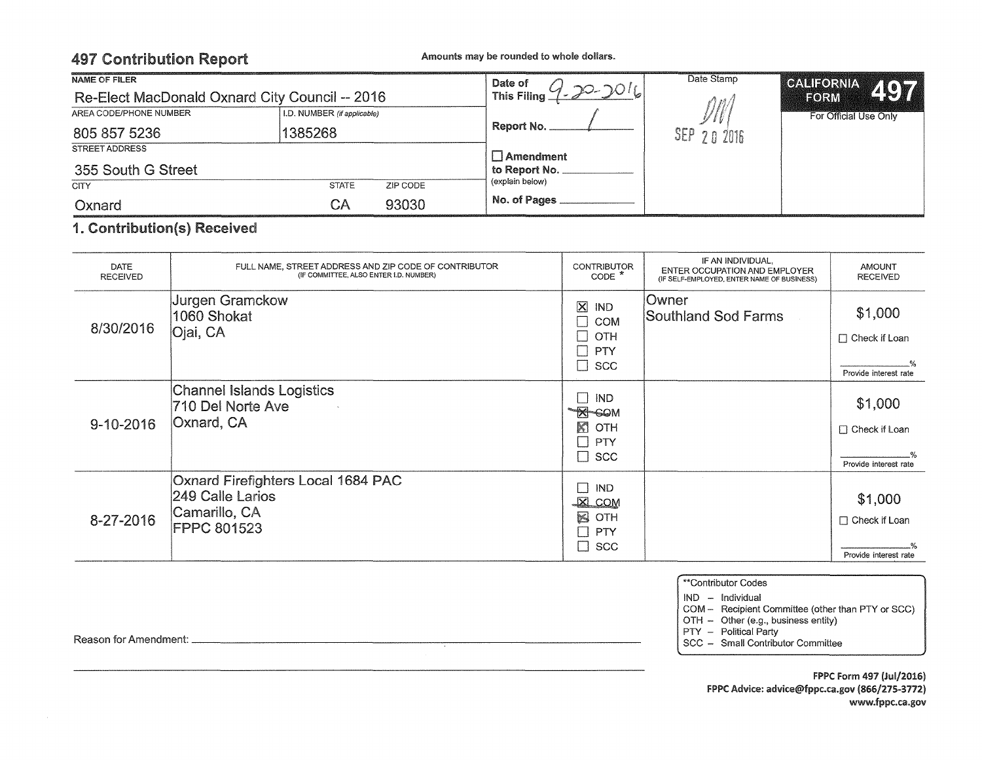# 497 Contribution Report Amounts may be rounded to whole dollars.

| <b>NAME OF FILER</b>                           |                             |          | Date of                      | Date Stamp   |                        |
|------------------------------------------------|-----------------------------|----------|------------------------------|--------------|------------------------|
| Re-Elect MacDonald Oxnard City Council -- 2016 |                             |          | $4.20 - 2016$<br>This Filing | nni          | CALIFORNIA 497<br>FORM |
| AREA CODE/PHONE NUMBER                         | I.D. NUMBER (if applicable) |          |                              |              | For Official Use Only  |
| 805 857 5236                                   | 1385268                     |          | Report No.                   | $SEP$ $2016$ |                        |
| <b>STREET ADDRESS</b>                          |                             |          | $\Box$ Amendment             |              |                        |
| 355 South G Street                             |                             |          | to Report No. .              |              |                        |
| <b>CITY</b>                                    | <b>STATE</b>                | ZIP CODE | (explain below)              |              |                        |
| Oxnard                                         | СA                          | 93030    | No. of Pages                 |              |                        |

### 1. Contribution(s) Received

| DATE<br><b>RECEIVED</b> | FULL NAME, STREET ADDRESS AND ZIP CODE OF CONTRIBUTOR<br>(IF COMMITTEE, ALSO ENTER I.D. NUMBER) | <b>CONTRIBUTOR</b><br>$CODE *$                                                                    | IF AN INDIVIDUAL,<br>ENTER OCCUPATION AND EMPLOYER<br>(IF SELF-EMPLOYED, ENTER NAME OF BUSINESS) | <b>AMOUNT</b><br><b>RECEIVED</b>                         |
|-------------------------|-------------------------------------------------------------------------------------------------|---------------------------------------------------------------------------------------------------|--------------------------------------------------------------------------------------------------|----------------------------------------------------------|
| 8/30/2016               | <b>Jurgen Gramckow</b><br>1060 Shokat<br>Ojai, CA                                               | $\overline{\mathsf{x}}$<br><b>IND</b><br>П<br><b>COM</b><br>П<br>OTH<br>$\Box$<br>PTY<br>П<br>SCC | Owner<br>Southland Sod Farms                                                                     | \$1,000<br>$\Box$ Check if Loan<br>Provide interest rate |
| $9 - 10 - 2016$         | Channel Islands Logistics<br>710 Del Norte Ave<br>$\sim$<br>Oxnard, CA                          | <b>IND</b><br><b>X-GOM</b><br>K<br>OTH<br>$\Box$<br>PTY<br>$\Box$ SCC                             |                                                                                                  | \$1,000<br>□ Check if Loan<br>Provide interest rate      |
| 8-27-2016               | Oxnard Firefighters Local 1684 PAC<br>249 Calle Larios<br>Camarillo, CA<br>FPPC 801523          | $\Box$<br><b>IND</b><br>$X$ COM<br>$\geq$<br>OTH<br>П<br><b>PTY</b><br>$\Box$ scc                 |                                                                                                  | \$1,000<br>$\Box$ Check if Loan<br>Provide interest rate |

\*\*Contributor Codes

IND - Individual

COM - Recipient Committee (other than PTY or SCC)

OTH - Other (e.g., business entity)

PTY - Political Party

SCC - Small Contributor Committee

Reason for Amendment:

FPPC Form 497 (Jul/2016) FPPC Advice: advice@fppc.ca.gov (866/275-3772) www.fppc.ca.gov